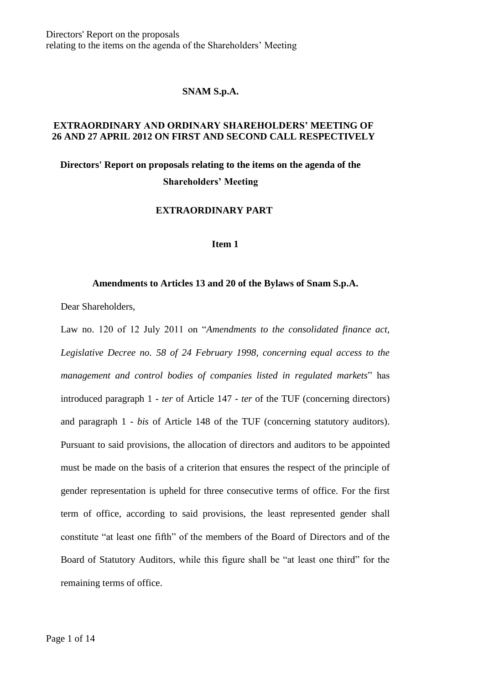Directors' Report on the proposals relating to the items on the agenda of the Shareholders' Meeting

#### **SNAM S.p.A.**

## **EXTRAORDINARY AND ORDINARY SHAREHOLDERS' MEETING OF 26 AND 27 APRIL 2012 ON FIRST AND SECOND CALL RESPECTIVELY**

# **Directors' Report on proposals relating to the items on the agenda of the Shareholders' Meeting**

## **EXTRAORDINARY PART**

#### **Item 1**

# **Amendments to Articles 13 and 20 of the Bylaws of Snam S.p.A.**

Dear Shareholders,

Law no. 120 of 12 July 2011 on "*Amendments to the consolidated finance act, Legislative Decree no. 58 of 24 February 1998, concerning equal access to the management and control bodies of companies listed in regulated markets*" has introduced paragraph 1 - *ter* of Article 147 - *ter* of the TUF (concerning directors) and paragraph 1 - *bis* of Article 148 of the TUF (concerning statutory auditors). Pursuant to said provisions, the allocation of directors and auditors to be appointed must be made on the basis of a criterion that ensures the respect of the principle of gender representation is upheld for three consecutive terms of office. For the first term of office, according to said provisions, the least represented gender shall constitute "at least one fifth" of the members of the Board of Directors and of the Board of Statutory Auditors, while this figure shall be "at least one third" for the remaining terms of office.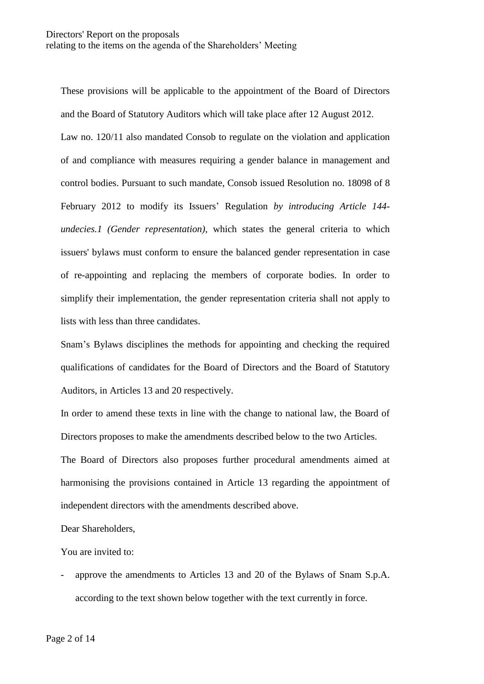These provisions will be applicable to the appointment of the Board of Directors and the Board of Statutory Auditors which will take place after 12 August 2012. Law no. 120/11 also mandated Consob to regulate on the violation and application of and compliance with measures requiring a gender balance in management and control bodies. Pursuant to such mandate, Consob issued Resolution no. 18098 of 8 February 2012 to modify its Issuers' Regulation *by introducing Article 144 undecies.1 (Gender representation)*, which states the general criteria to which issuers' bylaws must conform to ensure the balanced gender representation in case of re-appointing and replacing the members of corporate bodies. In order to simplify their implementation, the gender representation criteria shall not apply to lists with less than three candidates.

Snam's Bylaws disciplines the methods for appointing and checking the required qualifications of candidates for the Board of Directors and the Board of Statutory Auditors, in Articles 13 and 20 respectively.

In order to amend these texts in line with the change to national law, the Board of Directors proposes to make the amendments described below to the two Articles.

The Board of Directors also proposes further procedural amendments aimed at harmonising the provisions contained in Article 13 regarding the appointment of independent directors with the amendments described above.

Dear Shareholders,

You are invited to:

approve the amendments to Articles 13 and 20 of the Bylaws of Snam S.p.A. according to the text shown below together with the text currently in force.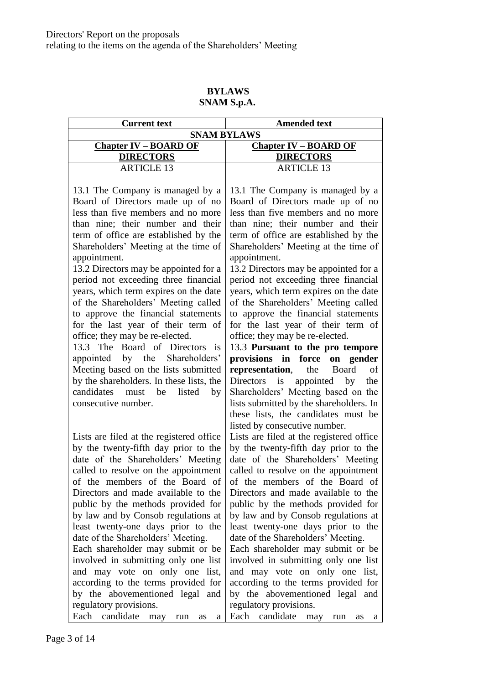#### **BYLAWS SNAM S.p.A.**

| <b>Current text</b>          | <b>Amended text</b>          |
|------------------------------|------------------------------|
| <b>SNAM BYLAWS</b>           |                              |
| <b>Chapter IV – BOARD OF</b> | <b>Chapter IV – BOARD OF</b> |
| <b>DIRECTORS</b>             | <b>DIRECTORS</b>             |
| <b>ARTICLE 13</b>            | <b>ARTICLE 13</b>            |
|                              |                              |

13.1 The Company is managed by a Board of Directors made up of no less than five members and no more than nine; their number and their term of office are established by the Shareholders' Meeting at the time of appointment.

13.2 Directors may be appointed for a period not exceeding three financial years, which term expires on the date of the Shareholders' Meeting called to approve the financial statements for the last year of their term of office; they may be re-elected.

13.3 The Board of Directors is appointed by the Shareholders' Meeting based on the lists submitted by the shareholders. In these lists, the candidates must be listed by consecutive number.

Lists are filed at the registered office by the twenty-fifth day prior to the date of the Shareholders' Meeting called to resolve on the appointment of the members of the Board of Directors and made available to the public by the methods provided for by law and by Consob regulations at least twenty-one days prior to the date of the Shareholders' Meeting. Each shareholder may submit or be involved in submitting only one list and may vote on only one list, according to the terms provided for by the abovementioned legal and regulatory provisions. Each candidate may run as a

13.1 The Company is managed by a Board of Directors made up of no less than five members and no more than nine; their number and their term of office are established by the Shareholders' Meeting at the time of appointment.

13.2 Directors may be appointed for a period not exceeding three financial years, which term expires on the date of the Shareholders' Meeting called to approve the financial statements for the last year of their term of office; they may be re-elected.

13.3 **Pursuant to the pro tempore provisions in force on gender representation**, the Board of Directors is appointed by the Shareholders' Meeting based on the lists submitted by the shareholders. In these lists, the candidates must be listed by consecutive number.

Lists are filed at the registered office by the twenty-fifth day prior to the date of the Shareholders' Meeting called to resolve on the appointment of the members of the Board of Directors and made available to the public by the methods provided for by law and by Consob regulations at least twenty-one days prior to the date of the Shareholders' Meeting.

Each shareholder may submit or be involved in submitting only one list and may vote on only one list, according to the terms provided for by the abovementioned legal and regulatory provisions. Each candidate may run as a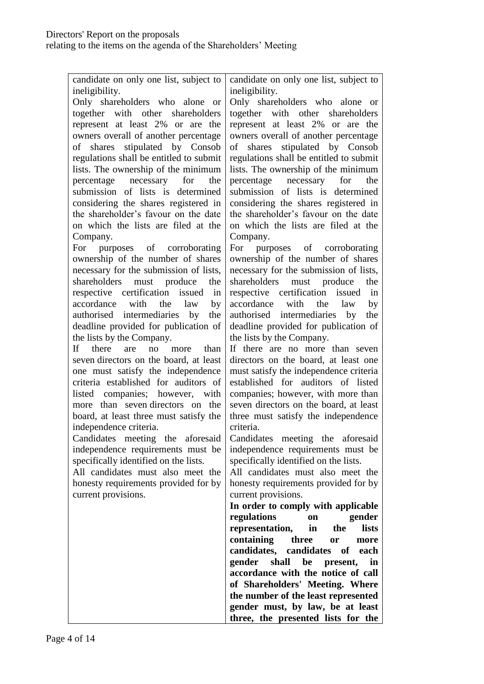| candidate on only one list, subject to     | candidate on only one list, subject to   |
|--------------------------------------------|------------------------------------------|
| ineligibility.                             | ineligibility.                           |
| Only shareholders who alone or             | Only shareholders who alone or           |
| together with other shareholders           | together with other shareholders         |
| represent at least 2% or are the           | represent at least 2% or are the         |
| owners overall of another percentage       | owners overall of another percentage     |
| shares stipulated by Consob<br>of          | shares stipulated by Consob<br>of        |
| regulations shall be entitled to submit    | regulations shall be entitled to submit  |
| lists. The ownership of the minimum        | lists. The ownership of the minimum      |
| percentage necessary for<br>the            | percentage necessary<br>for<br>the       |
| submission of lists is determined          | submission of lists is determined        |
| considering the shares registered in       | considering the shares registered in     |
| the shareholder's favour on the date       | the shareholder's favour on the date     |
| on which the lists are filed at the        | on which the lists are filed at the      |
| Company.                                   | Company.                                 |
| purposes of corroborating<br>For           | For purposes of corroborating            |
| ownership of the number of shares          | ownership of the number of shares        |
| necessary for the submission of lists,     | necessary for the submission of lists,   |
| shareholders must produce<br>the           | shareholders<br>must produce<br>the      |
| respective certification issued<br>in      | respective certification issued<br>in    |
| accordance<br>with<br>the<br>law<br>by     | accordance<br>with<br>the<br>law<br>by   |
| authorised intermediaries by<br>the        | authorised intermediaries<br>by<br>the   |
| deadline provided for publication of       | deadline provided for publication of     |
| the lists by the Company.                  | the lists by the Company.                |
| there<br>If -<br>than<br>are<br>no<br>more | If there are no more than seven          |
| seven directors on the board, at least     | directors on the board, at least one     |
| one must satisfy the independence          | must satisfy the independence criteria   |
| criteria established for auditors of       | established for auditors of listed       |
| listed companies; however, with            | companies; however, with more than       |
| more than seven directors on the           | seven directors on the board, at least   |
| board, at least three must satisfy the     | three must satisfy the independence      |
| independence criteria.                     | criteria.                                |
| Candidates meeting the aforesaid           | Candidates meeting the aforesaid         |
| independence requirements must be          | independence requirements must be        |
| specifically identified on the lists.      | specifically identified on the lists.    |
| All candidates must also meet the          | All candidates must also meet the        |
| honesty requirements provided for by       | honesty requirements provided for by     |
| current provisions.                        | current provisions.                      |
|                                            | In order to comply with applicable       |
|                                            | regulations<br>gender<br><b>on</b>       |
|                                            | representation,<br>in<br>lists<br>the    |
|                                            | containing<br>three<br>more<br><b>or</b> |
|                                            | candidates, candidates of each           |
|                                            | gender<br>shall<br>be<br>in<br>present,  |
|                                            | accordance with the notice of call       |
|                                            | of Shareholders' Meeting. Where          |
|                                            | the number of the least represented      |
|                                            | gender must, by law, be at least         |
|                                            | three, the presented lists for the       |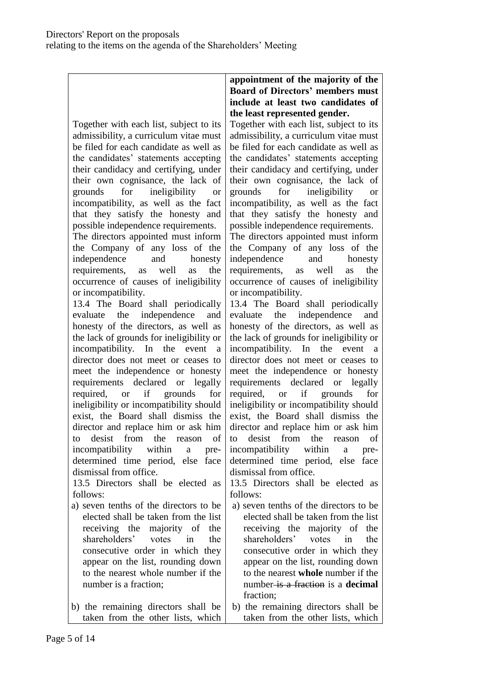Together with each list, subject to its admissibility, a curriculum vitae must be filed for each candidate as well as the candidates' statements accepting their candidacy and certifying, under their own cognisance, the lack of grounds for ineligibility or incompatibility, as well as the fact that they satisfy the honesty and possible independence requirements. The directors appointed must inform the Company of any loss of the independence and honesty requirements, as well as the occurrence of causes of ineligibility or incompatibility.

13.4 The Board shall periodically evaluate the independence and honesty of the directors, as well as the lack of grounds for ineligibility or incompatibility. In the event a director does not meet or ceases to meet the independence or honesty requirements declared or legally required, or if grounds for ineligibility or incompatibility should exist, the Board shall dismiss the director and replace him or ask him to desist from the reason of incompatibility within a predetermined time period, else face dismissal from office.

13.5 Directors shall be elected as follows:

- a) seven tenths of the directors to be elected shall be taken from the list receiving the majority of the shareholders' votes in the consecutive order in which they appear on the list, rounding down to the nearest whole number if the number is a fraction;
- b) the remaining directors shall be taken from the other lists, which

# **appointment of the majority of the Board of Directors' members must include at least two candidates of the least represented gender.**

Together with each list, subject to its admissibility, a curriculum vitae must be filed for each candidate as well as the candidates' statements accepting their candidacy and certifying, under their own cognisance, the lack of grounds for ineligibility or incompatibility, as well as the fact that they satisfy the honesty and possible independence requirements. The directors appointed must inform the Company of any loss of the independence and honesty requirements, as well as the occurrence of causes of ineligibility or incompatibility.

13.4 The Board shall periodically evaluate the independence and honesty of the directors, as well as the lack of grounds for ineligibility or incompatibility. In the event a director does not meet or ceases to meet the independence or honesty requirements declared or legally required, or if grounds for ineligibility or incompatibility should exist, the Board shall dismiss the director and replace him or ask him to desist from the reason of incompatibility within a predetermined time period, else face dismissal from office.

13.5 Directors shall be elected as follows:

- a) seven tenths of the directors to be elected shall be taken from the list receiving the majority of the shareholders' votes in the consecutive order in which they appear on the list, rounding down to the nearest **whole** number if the number is a fraction is a **decimal** fraction;
- b) the remaining directors shall be taken from the other lists, which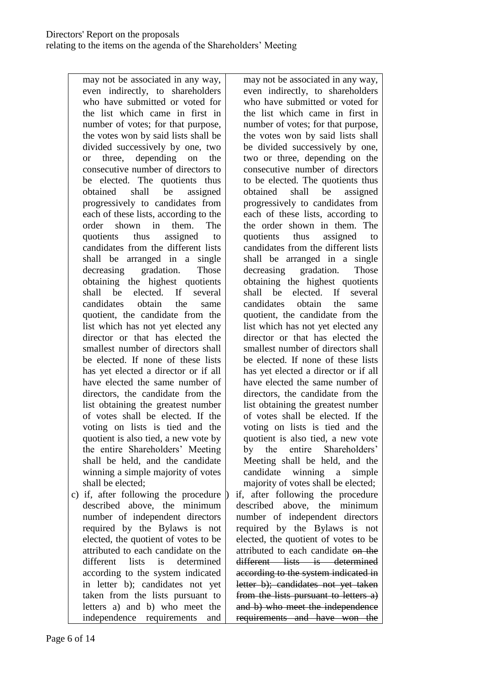may not be associated in any way, even indirectly, to shareholders who have submitted or voted for the list which came in first in number of votes; for that purpose, the votes won by said lists shall be divided successively by one, two or three, depending on the consecutive number of directors to be elected. The quotients thus obtained shall be assigned progressively to candidates from each of these lists, according to the order shown in them. The quotients thus assigned to candidates from the different lists shall be arranged in a single decreasing gradation. Those obtaining the highest quotients shall be elected. If several candidates obtain the same quotient, the candidate from the list which has not yet elected any director or that has elected the smallest number of directors shall be elected. If none of these lists has yet elected a director or if all have elected the same number of directors, the candidate from the list obtaining the greatest number of votes shall be elected. If the voting on lists is tied and the quotient is also tied, a new vote by the entire Shareholders' Meeting shall be held, and the candidate winning a simple majority of votes shall be elected;

c) if, after following the procedure described above, the minimum number of independent directors required by the Bylaws is not elected, the quotient of votes to be attributed to each candidate on the different lists is determined according to the system indicated in letter b); candidates not yet taken from the lists pursuant to letters a) and b) who meet the independence requirements and

may not be associated in any way, even indirectly, to shareholders who have submitted or voted for the list which came in first in number of votes; for that purpose, the votes won by said lists shall be divided successively by one, two or three, depending on the consecutive number of directors to be elected. The quotients thus obtained shall be assigned progressively to candidates from each of these lists, according to the order shown in them. The quotients thus assigned to candidates from the different lists shall be arranged in a single decreasing gradation. Those obtaining the highest quotients shall be elected. If several candidates obtain the same quotient, the candidate from the list which has not yet elected any director or that has elected the smallest number of directors shall be elected. If none of these lists has yet elected a director or if all have elected the same number of directors, the candidate from the list obtaining the greatest number of votes shall be elected. If the voting on lists is tied and the quotient is also tied, a new vote by the entire Shareholders' Meeting shall be held, and the candidate winning a simple majority of votes shall be elected; if, after following the procedure described above, the minimum number of independent directors required by the Bylaws is not elected, the quotient of votes to be attributed to each candidate on the different lists is determined according to the system indicated in letter b); candidates not yet taken from the lists pursuant to letters a) and b) who meet the independence requirements and have won the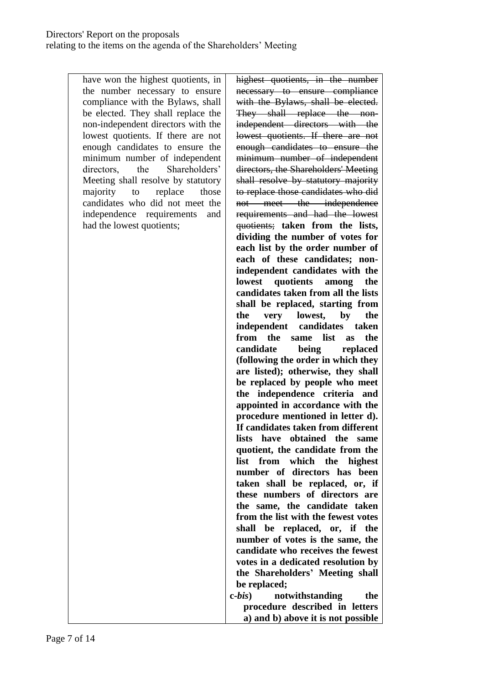have won the highest quotients, in the number necessary to ensure compliance with the Bylaws, shall be elected. They shall replace the non-independent directors with the lowest quotients. If there are not enough candidates to ensure the minimum number of independent directors the Shareholders' Meeting shall resolve by statutory majority to replace those candidates who did not meet the independence requirements and had the lowest quotients;

highest quotients, in the number necessary to ensure compliance with the Bylaws, shall be elected. They shall replace the nonindependent directors with the lowest quotients. If there are not enough candidates to ensure the minimum number of independent directors, the Shareholders' Meeting shall resolve by statutory majority to replace those candidates who did not meet the independence requirements and had the lowest quotients; **taken from the lists, dividing the number of votes for each list by the order number of each of these candidates; nonindependent candidates with the lowest quotients among the candidates taken from all the lists shall be replaced, starting from the very lowest, by the independent candidates taken from the same list as the candidate being replaced (following the order in which they are listed); otherwise, they shall be replaced by people who meet the independence criteria and appointed in accordance with the procedure mentioned in letter d). If candidates taken from different lists have obtained the same quotient, the candidate from the list from which the highest number of directors has been taken shall be replaced, or, if these numbers of directors are the same, the candidate taken from the list with the fewest votes shall be replaced, or, if the number of votes is the same, the candidate who receives the fewest votes in a dedicated resolution by the Shareholders' Meeting shall be replaced;**

**c-***bis***) notwithstanding the procedure described in letters a) and b) above it is not possible**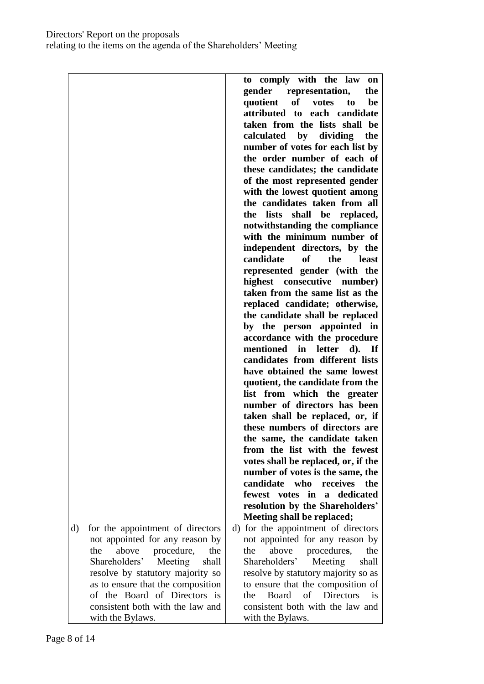Directors' Report on the proposals relating to the items on the agenda of the Shareholders' Meeting

|                                                                           | to comply with the law<br>on<br>gender<br>representation,<br>the<br><b>of</b><br>quotient<br>to<br>votes<br>be |
|---------------------------------------------------------------------------|----------------------------------------------------------------------------------------------------------------|
|                                                                           | attributed to each candidate<br>taken from the lists shall be<br>calculated by dividing<br>the                 |
|                                                                           | number of votes for each list by<br>the order number of each of                                                |
|                                                                           | these candidates; the candidate<br>of the most represented gender                                              |
|                                                                           | with the lowest quotient among                                                                                 |
|                                                                           | the candidates taken from all<br>shall be replaced,<br>lists<br>the                                            |
|                                                                           | notwithstanding the compliance                                                                                 |
|                                                                           | with the minimum number of                                                                                     |
|                                                                           | independent directors, by the<br>candidate<br><b>of</b><br>the<br><b>least</b>                                 |
|                                                                           | represented gender (with the                                                                                   |
|                                                                           | highest consecutive number)<br>taken from the same list as the                                                 |
|                                                                           | replaced candidate; otherwise,                                                                                 |
|                                                                           | the candidate shall be replaced<br>by the person appointed in                                                  |
|                                                                           | accordance with the procedure                                                                                  |
|                                                                           | mentioned in letter d). If<br>candidates from different lists                                                  |
|                                                                           | have obtained the same lowest                                                                                  |
|                                                                           | quotient, the candidate from the                                                                               |
|                                                                           | list from which the greater<br>number of directors has been                                                    |
|                                                                           | taken shall be replaced, or, if                                                                                |
|                                                                           | these numbers of directors are<br>the same, the candidate taken                                                |
|                                                                           | from the list with the fewest                                                                                  |
|                                                                           | votes shall be replaced, or, if the<br>number of votes is the same, the                                        |
|                                                                           | candidate<br>who<br>receives<br>the                                                                            |
|                                                                           | fewest votes in a dedicated<br>resolution by the Shareholders'                                                 |
|                                                                           | Meeting shall be replaced;                                                                                     |
| for the appointment of directors<br>d)<br>not appointed for any reason by | d) for the appointment of directors<br>not appointed for any reason by                                         |
| above<br>procedure,<br>the<br>the                                         | procedures,<br>above<br>the<br>the                                                                             |
| Shareholders'<br>Meeting<br>shall<br>resolve by statutory majority so     | Shareholders'<br>Meeting<br>shall<br>resolve by statutory majority so as                                       |
| as to ensure that the composition                                         | to ensure that the composition of                                                                              |
| of the Board of Directors is<br>consistent both with the law and          | <b>Directors</b><br>Board<br>of<br>the<br><b>1S</b><br>consistent both with the law and                        |
| with the Bylaws.                                                          | with the Bylaws.                                                                                               |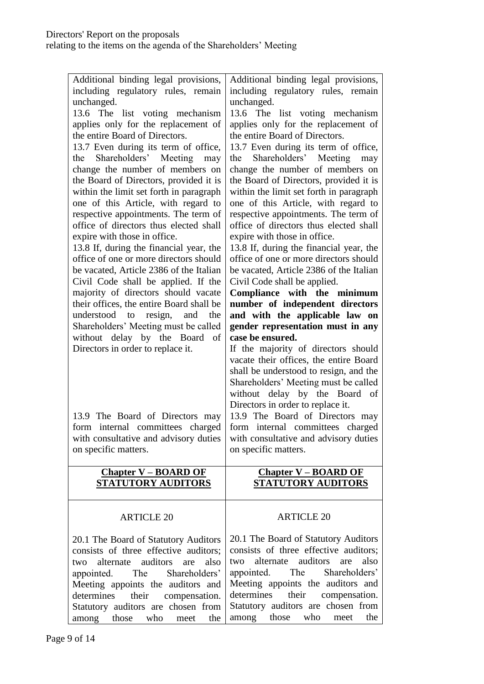relating to the items on the agenda of the Shareholders' Meeting

| Additional binding legal provisions,<br>including regulatory rules, remain | Additional binding legal provisions,<br>including regulatory rules, remain |
|----------------------------------------------------------------------------|----------------------------------------------------------------------------|
| unchanged.                                                                 | unchanged.                                                                 |
| 13.6 The list voting mechanism                                             | 13.6 The list voting mechanism                                             |
| applies only for the replacement of                                        | applies only for the replacement of                                        |
| the entire Board of Directors.                                             | the entire Board of Directors.                                             |
|                                                                            |                                                                            |
| 13.7 Even during its term of office,                                       | 13.7 Even during its term of office,                                       |
| Shareholders' Meeting may<br>the                                           | Shareholders' Meeting may<br>the                                           |
| change the number of members on                                            | change the number of members on                                            |
| the Board of Directors, provided it is                                     | the Board of Directors, provided it is                                     |
| within the limit set forth in paragraph                                    | within the limit set forth in paragraph                                    |
| one of this Article, with regard to                                        | one of this Article, with regard to                                        |
| respective appointments. The term of                                       | respective appointments. The term of                                       |
| office of directors thus elected shall                                     | office of directors thus elected shall                                     |
| expire with those in office.                                               | expire with those in office.                                               |
| 13.8 If, during the financial year, the                                    | 13.8 If, during the financial year, the                                    |
| office of one or more directors should                                     | office of one or more directors should                                     |
| be vacated, Article 2386 of the Italian                                    | be vacated, Article 2386 of the Italian                                    |
| Civil Code shall be applied. If the                                        | Civil Code shall be applied.                                               |
| majority of directors should vacate                                        | Compliance with the minimum                                                |
| their offices, the entire Board shall be                                   |                                                                            |
| understood to<br>resign, and<br>the                                        | number of independent directors                                            |
|                                                                            | and with the applicable law on                                             |
| Shareholders' Meeting must be called                                       | gender representation must in any<br>case be ensured.                      |
| without delay by the Board<br>- of                                         |                                                                            |
| Directors in order to replace it.                                          | If the majority of directors should                                        |
|                                                                            | vacate their offices, the entire Board                                     |
|                                                                            | shall be understood to resign, and the                                     |
|                                                                            | Shareholders' Meeting must be called                                       |
|                                                                            |                                                                            |
|                                                                            | without delay by the Board of                                              |
|                                                                            | Directors in order to replace it.                                          |
| 13.9 The Board of Directors may                                            | 13.9 The Board of Directors may                                            |
| form internal committees charged                                           | form internal committees charged                                           |
| with consultative and advisory duties                                      | with consultative and advisory duties                                      |
| on specific matters.                                                       | on specific matters.                                                       |
|                                                                            |                                                                            |
| <b>Chapter V – BOARD OF</b>                                                | <b>Chapter V – BOARD OF</b>                                                |
| <b>STATUTORY AUDITORS</b>                                                  | <b>STATUTORY AUDITORS</b>                                                  |
|                                                                            |                                                                            |
| <b>ARTICLE 20</b>                                                          | <b>ARTICLE 20</b>                                                          |
|                                                                            |                                                                            |
| 20.1 The Board of Statutory Auditors                                       | 20.1 The Board of Statutory Auditors                                       |
| consists of three effective auditors;                                      | consists of three effective auditors;                                      |
| auditors<br>also<br>alternate<br>are<br>two                                | alternate<br>auditors<br>are<br>also<br>two                                |
|                                                                            | Shareholders'                                                              |
| The<br>Shareholders'<br>appointed.                                         | appointed. The                                                             |
| Meeting appoints the auditors and                                          | Meeting appoints the auditors and                                          |
| their<br>determines<br>compensation.                                       | determines<br>their<br>compensation.                                       |
| Statutory auditors are chosen from<br>among<br>those<br>who<br>the<br>meet | Statutory auditors are chosen from<br>those<br>who<br>among<br>the<br>meet |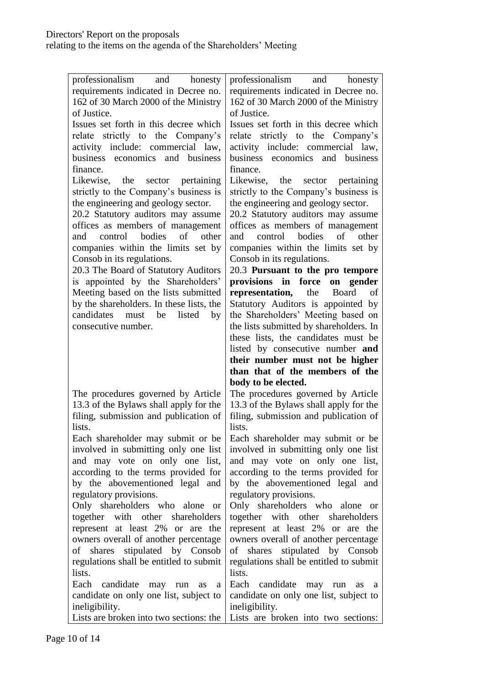| professionalism and honesty<br>requirements indicated in Decree no.<br>162 of 30 March 2000 of the Ministry<br>of Justice.<br>Issues set forth in this decree which<br>relate strictly to the Company's<br>activity include: commercial law,<br>business economics and business<br>finance.<br>Likewise, the sector pertaining<br>strictly to the Company's business is<br>the engineering and geology sector.<br>20.2 Statutory auditors may assume<br>offices as members of management<br>and control bodies of other<br>companies within the limits set by | professionalism<br>and honesty<br>requirements indicated in Decree no.<br>162 of 30 March 2000 of the Ministry<br>of Justice.<br>Issues set forth in this decree which<br>relate strictly to the Company's<br>activity include: commercial law,<br>business economics and business<br>finance.<br>Likewise, the sector pertaining<br>strictly to the Company's business is<br>the engineering and geology sector.<br>20.2 Statutory auditors may assume<br>offices as members of management<br>and control bodies of other<br>companies within the limits set by |
|---------------------------------------------------------------------------------------------------------------------------------------------------------------------------------------------------------------------------------------------------------------------------------------------------------------------------------------------------------------------------------------------------------------------------------------------------------------------------------------------------------------------------------------------------------------|------------------------------------------------------------------------------------------------------------------------------------------------------------------------------------------------------------------------------------------------------------------------------------------------------------------------------------------------------------------------------------------------------------------------------------------------------------------------------------------------------------------------------------------------------------------|
| Consob in its regulations.<br>20.3 The Board of Statutory Auditors<br>is appointed by the Shareholders'<br>Meeting based on the lists submitted<br>by the shareholders. In these lists, the<br>candidates<br>must be<br>listed<br>by<br>consecutive number.                                                                                                                                                                                                                                                                                                   | Consob in its regulations.<br>20.3 Pursuant to the pro tempore<br>provisions in force<br>on gender<br>representation,<br>the<br><b>Board</b><br>of<br>Statutory Auditors is appointed by<br>the Shareholders' Meeting based on<br>the lists submitted by shareholders. In<br>these lists, the candidates must be<br>listed by consecutive number and<br>their number must not be higher<br>than that of the members of the<br>body to be elected.                                                                                                                |
| The procedures governed by Article                                                                                                                                                                                                                                                                                                                                                                                                                                                                                                                            | The procedures governed by Article                                                                                                                                                                                                                                                                                                                                                                                                                                                                                                                               |
| 13.3 of the Bylaws shall apply for the                                                                                                                                                                                                                                                                                                                                                                                                                                                                                                                        | 13.3 of the Bylaws shall apply for the                                                                                                                                                                                                                                                                                                                                                                                                                                                                                                                           |
| filing, submission and publication of                                                                                                                                                                                                                                                                                                                                                                                                                                                                                                                         | filing, submission and publication of                                                                                                                                                                                                                                                                                                                                                                                                                                                                                                                            |
| lists.                                                                                                                                                                                                                                                                                                                                                                                                                                                                                                                                                        | lists.                                                                                                                                                                                                                                                                                                                                                                                                                                                                                                                                                           |
| Each shareholder may submit or be                                                                                                                                                                                                                                                                                                                                                                                                                                                                                                                             | Each shareholder may submit or be                                                                                                                                                                                                                                                                                                                                                                                                                                                                                                                                |
| involved in submitting only one list                                                                                                                                                                                                                                                                                                                                                                                                                                                                                                                          | involved in submitting only one list                                                                                                                                                                                                                                                                                                                                                                                                                                                                                                                             |
| and may vote on only one list,                                                                                                                                                                                                                                                                                                                                                                                                                                                                                                                                | and may vote on only one list,                                                                                                                                                                                                                                                                                                                                                                                                                                                                                                                                   |
| according to the terms provided for                                                                                                                                                                                                                                                                                                                                                                                                                                                                                                                           | according to the terms provided for                                                                                                                                                                                                                                                                                                                                                                                                                                                                                                                              |
| by the abovementioned legal and                                                                                                                                                                                                                                                                                                                                                                                                                                                                                                                               | by the abovementioned legal and                                                                                                                                                                                                                                                                                                                                                                                                                                                                                                                                  |
| regulatory provisions.                                                                                                                                                                                                                                                                                                                                                                                                                                                                                                                                        | regulatory provisions.                                                                                                                                                                                                                                                                                                                                                                                                                                                                                                                                           |
| Only shareholders who alone or                                                                                                                                                                                                                                                                                                                                                                                                                                                                                                                                | Only shareholders who alone                                                                                                                                                                                                                                                                                                                                                                                                                                                                                                                                      |
| together with other shareholders                                                                                                                                                                                                                                                                                                                                                                                                                                                                                                                              | <b>or</b>                                                                                                                                                                                                                                                                                                                                                                                                                                                                                                                                                        |
| represent at least 2% or are the                                                                                                                                                                                                                                                                                                                                                                                                                                                                                                                              | together with other shareholders                                                                                                                                                                                                                                                                                                                                                                                                                                                                                                                                 |
| owners overall of another percentage                                                                                                                                                                                                                                                                                                                                                                                                                                                                                                                          | represent at least 2% or are the                                                                                                                                                                                                                                                                                                                                                                                                                                                                                                                                 |
| of shares stipulated by Consob                                                                                                                                                                                                                                                                                                                                                                                                                                                                                                                                | owners overall of another percentage                                                                                                                                                                                                                                                                                                                                                                                                                                                                                                                             |
| regulations shall be entitled to submit                                                                                                                                                                                                                                                                                                                                                                                                                                                                                                                       | of shares stipulated by Consob                                                                                                                                                                                                                                                                                                                                                                                                                                                                                                                                   |
| lists.                                                                                                                                                                                                                                                                                                                                                                                                                                                                                                                                                        | regulations shall be entitled to submit                                                                                                                                                                                                                                                                                                                                                                                                                                                                                                                          |
| Each candidate                                                                                                                                                                                                                                                                                                                                                                                                                                                                                                                                                | lists.                                                                                                                                                                                                                                                                                                                                                                                                                                                                                                                                                           |
| may run                                                                                                                                                                                                                                                                                                                                                                                                                                                                                                                                                       | Each candidate may run                                                                                                                                                                                                                                                                                                                                                                                                                                                                                                                                           |
| as                                                                                                                                                                                                                                                                                                                                                                                                                                                                                                                                                            | as                                                                                                                                                                                                                                                                                                                                                                                                                                                                                                                                                               |
| a                                                                                                                                                                                                                                                                                                                                                                                                                                                                                                                                                             | a                                                                                                                                                                                                                                                                                                                                                                                                                                                                                                                                                                |
| candidate on only one list, subject to                                                                                                                                                                                                                                                                                                                                                                                                                                                                                                                        | candidate on only one list, subject to                                                                                                                                                                                                                                                                                                                                                                                                                                                                                                                           |
| ineligibility.                                                                                                                                                                                                                                                                                                                                                                                                                                                                                                                                                | ineligibility.                                                                                                                                                                                                                                                                                                                                                                                                                                                                                                                                                   |
| Lists are broken into two sections: the                                                                                                                                                                                                                                                                                                                                                                                                                                                                                                                       | Lists are broken into two sections:                                                                                                                                                                                                                                                                                                                                                                                                                                                                                                                              |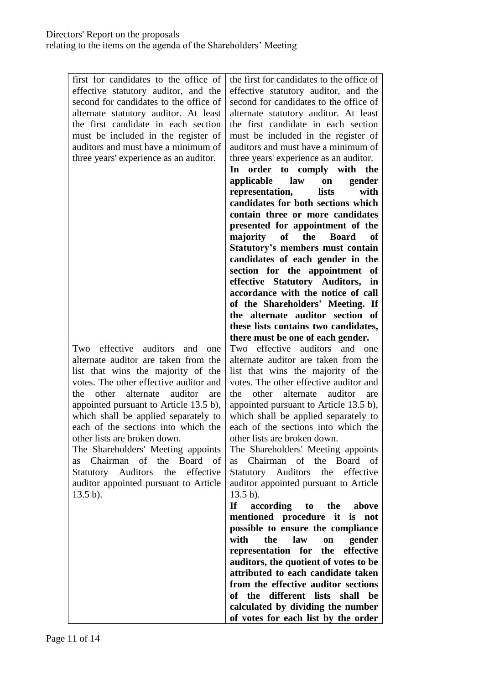| first for candidates to the office of<br>effective statutory auditor, and the<br>second for candidates to the office of<br>alternate statutory auditor. At least<br>the first candidate in each section<br>must be included in the register of<br>auditors and must have a minimum of<br>three years' experience as an auditor.<br>effective<br>auditors<br>Two<br>and<br>one<br>alternate auditor are taken from the<br>list that wins the majority of the<br>votes. The other effective auditor and<br>auditor<br>other<br>alternate<br>the<br>are<br>appointed pursuant to Article 13.5 b),<br>which shall be applied separately to<br>each of the sections into which the<br>other lists are broken down.<br>The Shareholders' Meeting appoints<br>Chairman of the Board<br>- of<br>as<br>Statutory Auditors the effective<br>auditor appointed pursuant to Article<br>$13.5 b$ ). | the first for candidates to the office of<br>effective statutory auditor, and the<br>second for candidates to the office of<br>alternate statutory auditor. At least<br>the first candidate in each section<br>must be included in the register of<br>auditors and must have a minimum of<br>three years' experience as an auditor.<br>order to comply with the<br>$\mathbf{In}$<br>law<br>applicable<br>gender<br>on<br>representation,<br>lists<br>with<br>candidates for both sections which<br>contain three or more candidates<br>presented for appointment of the<br>of<br>majority<br>the<br><b>Board</b><br>of<br>Statutory's members must contain<br>candidates of each gender in the<br>section for the appointment<br>of<br>effective Statutory Auditors, in<br>accordance with the notice of call<br>of the Shareholders' Meeting. If<br>the alternate auditor section of<br>these lists contains two candidates,<br>there must be one of each gender.<br>auditors<br>and<br>Two<br>effective<br>one<br>alternate auditor are taken from the<br>list that wins the majority of the<br>votes. The other effective auditor and<br>other<br>auditor<br>the<br>alternate<br>are<br>appointed pursuant to Article 13.5 b),<br>which shall be applied separately to<br>each of the sections into which the<br>other lists are broken down.<br>Chairman of the Board<br><b>as</b><br>$13.5 b$ ).<br>If |
|----------------------------------------------------------------------------------------------------------------------------------------------------------------------------------------------------------------------------------------------------------------------------------------------------------------------------------------------------------------------------------------------------------------------------------------------------------------------------------------------------------------------------------------------------------------------------------------------------------------------------------------------------------------------------------------------------------------------------------------------------------------------------------------------------------------------------------------------------------------------------------------|-------------------------------------------------------------------------------------------------------------------------------------------------------------------------------------------------------------------------------------------------------------------------------------------------------------------------------------------------------------------------------------------------------------------------------------------------------------------------------------------------------------------------------------------------------------------------------------------------------------------------------------------------------------------------------------------------------------------------------------------------------------------------------------------------------------------------------------------------------------------------------------------------------------------------------------------------------------------------------------------------------------------------------------------------------------------------------------------------------------------------------------------------------------------------------------------------------------------------------------------------------------------------------------------------------------------------------------------------------------------------------------------------------------|
|                                                                                                                                                                                                                                                                                                                                                                                                                                                                                                                                                                                                                                                                                                                                                                                                                                                                                        | The Shareholders' Meeting appoints<br>of<br>Statutory Auditors the effective<br>auditor appointed pursuant to Article                                                                                                                                                                                                                                                                                                                                                                                                                                                                                                                                                                                                                                                                                                                                                                                                                                                                                                                                                                                                                                                                                                                                                                                                                                                                                       |
|                                                                                                                                                                                                                                                                                                                                                                                                                                                                                                                                                                                                                                                                                                                                                                                                                                                                                        | according to the above<br>mentioned procedure it is not<br>possible to ensure the compliance<br>with<br>law<br>the<br>gender<br>on<br>representation for the effective<br>auditors, the quotient of votes to be<br>attributed to each candidate taken<br>from the effective auditor sections<br>of the different lists shall<br>be<br>calculated by dividing the number<br>of votes for each list by the order                                                                                                                                                                                                                                                                                                                                                                                                                                                                                                                                                                                                                                                                                                                                                                                                                                                                                                                                                                                              |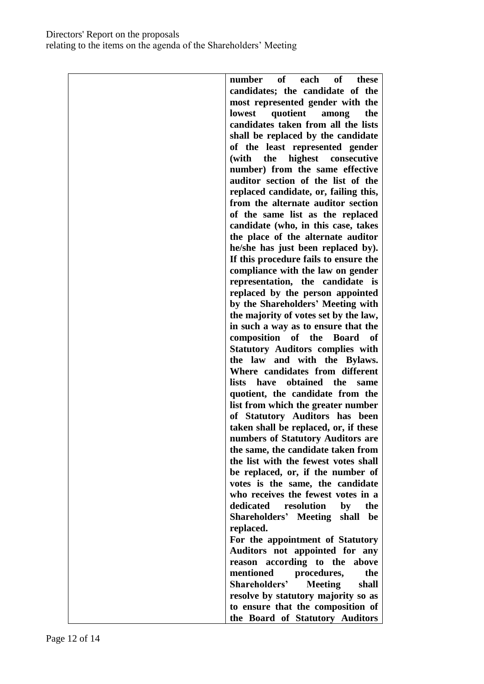# Directors' Report on the proposals relating to the items on the agenda of the Shareholders' Meeting

| candidates; the candidate of the<br>most represented gender with the<br>lowest<br>quotient<br>the<br>among<br>candidates taken from all the lists<br>shall be replaced by the candidate<br>of the least represented gender<br>highest consecutive<br>(with the<br>number) from the same effective<br>auditor section of the list of the<br>replaced candidate, or, failing this,<br>from the alternate auditor section<br>of the same list as the replaced<br>candidate (who, in this case, takes<br>the place of the alternate auditor<br>he/she has just been replaced by).<br>If this procedure fails to ensure the<br>compliance with the law on gender<br>representation, the candidate is<br>replaced by the person appointed<br>by the Shareholders' Meeting with<br>the majority of votes set by the law,<br>in such a way as to ensure that the<br>of the<br>composition<br><b>Board</b><br>of<br><b>Statutory Auditors complies with</b><br>the law and with the Bylaws.<br>Where candidates from different<br>lists have obtained the<br>same<br>quotient, the candidate from the<br>list from which the greater number<br>of Statutory Auditors has been<br>taken shall be replaced, or, if these<br>numbers of Statutory Auditors are<br>the same, the candidate taken from<br>the list with the fewest votes shall<br>be replaced, or, if the number of<br>votes is the same, the candidate<br>who receives the fewest votes in a<br>dedicated resolution<br>the<br>by<br><b>Shareholders'</b> Meeting<br>shall<br>be<br>replaced.<br>For the appointment of Statutory<br>Auditors not appointed for any<br>according to the<br>above<br>reason<br>mentioned<br>procedures,<br>the<br>Shareholders'<br><b>Meeting</b><br>shall<br>resolve by statutory majority so as<br>to ensure that the composition of | of<br>each of<br>number<br>these |
|--------------------------------------------------------------------------------------------------------------------------------------------------------------------------------------------------------------------------------------------------------------------------------------------------------------------------------------------------------------------------------------------------------------------------------------------------------------------------------------------------------------------------------------------------------------------------------------------------------------------------------------------------------------------------------------------------------------------------------------------------------------------------------------------------------------------------------------------------------------------------------------------------------------------------------------------------------------------------------------------------------------------------------------------------------------------------------------------------------------------------------------------------------------------------------------------------------------------------------------------------------------------------------------------------------------------------------------------------------------------------------------------------------------------------------------------------------------------------------------------------------------------------------------------------------------------------------------------------------------------------------------------------------------------------------------------------------------------------------------------------------------------------------------------------------------------------|----------------------------------|
|                                                                                                                                                                                                                                                                                                                                                                                                                                                                                                                                                                                                                                                                                                                                                                                                                                                                                                                                                                                                                                                                                                                                                                                                                                                                                                                                                                                                                                                                                                                                                                                                                                                                                                                                                                                                                          |                                  |
|                                                                                                                                                                                                                                                                                                                                                                                                                                                                                                                                                                                                                                                                                                                                                                                                                                                                                                                                                                                                                                                                                                                                                                                                                                                                                                                                                                                                                                                                                                                                                                                                                                                                                                                                                                                                                          |                                  |
|                                                                                                                                                                                                                                                                                                                                                                                                                                                                                                                                                                                                                                                                                                                                                                                                                                                                                                                                                                                                                                                                                                                                                                                                                                                                                                                                                                                                                                                                                                                                                                                                                                                                                                                                                                                                                          |                                  |
|                                                                                                                                                                                                                                                                                                                                                                                                                                                                                                                                                                                                                                                                                                                                                                                                                                                                                                                                                                                                                                                                                                                                                                                                                                                                                                                                                                                                                                                                                                                                                                                                                                                                                                                                                                                                                          |                                  |
|                                                                                                                                                                                                                                                                                                                                                                                                                                                                                                                                                                                                                                                                                                                                                                                                                                                                                                                                                                                                                                                                                                                                                                                                                                                                                                                                                                                                                                                                                                                                                                                                                                                                                                                                                                                                                          |                                  |
|                                                                                                                                                                                                                                                                                                                                                                                                                                                                                                                                                                                                                                                                                                                                                                                                                                                                                                                                                                                                                                                                                                                                                                                                                                                                                                                                                                                                                                                                                                                                                                                                                                                                                                                                                                                                                          |                                  |
|                                                                                                                                                                                                                                                                                                                                                                                                                                                                                                                                                                                                                                                                                                                                                                                                                                                                                                                                                                                                                                                                                                                                                                                                                                                                                                                                                                                                                                                                                                                                                                                                                                                                                                                                                                                                                          |                                  |
|                                                                                                                                                                                                                                                                                                                                                                                                                                                                                                                                                                                                                                                                                                                                                                                                                                                                                                                                                                                                                                                                                                                                                                                                                                                                                                                                                                                                                                                                                                                                                                                                                                                                                                                                                                                                                          |                                  |
|                                                                                                                                                                                                                                                                                                                                                                                                                                                                                                                                                                                                                                                                                                                                                                                                                                                                                                                                                                                                                                                                                                                                                                                                                                                                                                                                                                                                                                                                                                                                                                                                                                                                                                                                                                                                                          |                                  |
|                                                                                                                                                                                                                                                                                                                                                                                                                                                                                                                                                                                                                                                                                                                                                                                                                                                                                                                                                                                                                                                                                                                                                                                                                                                                                                                                                                                                                                                                                                                                                                                                                                                                                                                                                                                                                          |                                  |
|                                                                                                                                                                                                                                                                                                                                                                                                                                                                                                                                                                                                                                                                                                                                                                                                                                                                                                                                                                                                                                                                                                                                                                                                                                                                                                                                                                                                                                                                                                                                                                                                                                                                                                                                                                                                                          |                                  |
|                                                                                                                                                                                                                                                                                                                                                                                                                                                                                                                                                                                                                                                                                                                                                                                                                                                                                                                                                                                                                                                                                                                                                                                                                                                                                                                                                                                                                                                                                                                                                                                                                                                                                                                                                                                                                          |                                  |
|                                                                                                                                                                                                                                                                                                                                                                                                                                                                                                                                                                                                                                                                                                                                                                                                                                                                                                                                                                                                                                                                                                                                                                                                                                                                                                                                                                                                                                                                                                                                                                                                                                                                                                                                                                                                                          |                                  |
|                                                                                                                                                                                                                                                                                                                                                                                                                                                                                                                                                                                                                                                                                                                                                                                                                                                                                                                                                                                                                                                                                                                                                                                                                                                                                                                                                                                                                                                                                                                                                                                                                                                                                                                                                                                                                          |                                  |
|                                                                                                                                                                                                                                                                                                                                                                                                                                                                                                                                                                                                                                                                                                                                                                                                                                                                                                                                                                                                                                                                                                                                                                                                                                                                                                                                                                                                                                                                                                                                                                                                                                                                                                                                                                                                                          |                                  |
|                                                                                                                                                                                                                                                                                                                                                                                                                                                                                                                                                                                                                                                                                                                                                                                                                                                                                                                                                                                                                                                                                                                                                                                                                                                                                                                                                                                                                                                                                                                                                                                                                                                                                                                                                                                                                          |                                  |
|                                                                                                                                                                                                                                                                                                                                                                                                                                                                                                                                                                                                                                                                                                                                                                                                                                                                                                                                                                                                                                                                                                                                                                                                                                                                                                                                                                                                                                                                                                                                                                                                                                                                                                                                                                                                                          |                                  |
|                                                                                                                                                                                                                                                                                                                                                                                                                                                                                                                                                                                                                                                                                                                                                                                                                                                                                                                                                                                                                                                                                                                                                                                                                                                                                                                                                                                                                                                                                                                                                                                                                                                                                                                                                                                                                          |                                  |
|                                                                                                                                                                                                                                                                                                                                                                                                                                                                                                                                                                                                                                                                                                                                                                                                                                                                                                                                                                                                                                                                                                                                                                                                                                                                                                                                                                                                                                                                                                                                                                                                                                                                                                                                                                                                                          |                                  |
|                                                                                                                                                                                                                                                                                                                                                                                                                                                                                                                                                                                                                                                                                                                                                                                                                                                                                                                                                                                                                                                                                                                                                                                                                                                                                                                                                                                                                                                                                                                                                                                                                                                                                                                                                                                                                          |                                  |
|                                                                                                                                                                                                                                                                                                                                                                                                                                                                                                                                                                                                                                                                                                                                                                                                                                                                                                                                                                                                                                                                                                                                                                                                                                                                                                                                                                                                                                                                                                                                                                                                                                                                                                                                                                                                                          |                                  |
|                                                                                                                                                                                                                                                                                                                                                                                                                                                                                                                                                                                                                                                                                                                                                                                                                                                                                                                                                                                                                                                                                                                                                                                                                                                                                                                                                                                                                                                                                                                                                                                                                                                                                                                                                                                                                          |                                  |
|                                                                                                                                                                                                                                                                                                                                                                                                                                                                                                                                                                                                                                                                                                                                                                                                                                                                                                                                                                                                                                                                                                                                                                                                                                                                                                                                                                                                                                                                                                                                                                                                                                                                                                                                                                                                                          |                                  |
|                                                                                                                                                                                                                                                                                                                                                                                                                                                                                                                                                                                                                                                                                                                                                                                                                                                                                                                                                                                                                                                                                                                                                                                                                                                                                                                                                                                                                                                                                                                                                                                                                                                                                                                                                                                                                          |                                  |
|                                                                                                                                                                                                                                                                                                                                                                                                                                                                                                                                                                                                                                                                                                                                                                                                                                                                                                                                                                                                                                                                                                                                                                                                                                                                                                                                                                                                                                                                                                                                                                                                                                                                                                                                                                                                                          |                                  |
|                                                                                                                                                                                                                                                                                                                                                                                                                                                                                                                                                                                                                                                                                                                                                                                                                                                                                                                                                                                                                                                                                                                                                                                                                                                                                                                                                                                                                                                                                                                                                                                                                                                                                                                                                                                                                          |                                  |
|                                                                                                                                                                                                                                                                                                                                                                                                                                                                                                                                                                                                                                                                                                                                                                                                                                                                                                                                                                                                                                                                                                                                                                                                                                                                                                                                                                                                                                                                                                                                                                                                                                                                                                                                                                                                                          |                                  |
|                                                                                                                                                                                                                                                                                                                                                                                                                                                                                                                                                                                                                                                                                                                                                                                                                                                                                                                                                                                                                                                                                                                                                                                                                                                                                                                                                                                                                                                                                                                                                                                                                                                                                                                                                                                                                          |                                  |
|                                                                                                                                                                                                                                                                                                                                                                                                                                                                                                                                                                                                                                                                                                                                                                                                                                                                                                                                                                                                                                                                                                                                                                                                                                                                                                                                                                                                                                                                                                                                                                                                                                                                                                                                                                                                                          |                                  |
|                                                                                                                                                                                                                                                                                                                                                                                                                                                                                                                                                                                                                                                                                                                                                                                                                                                                                                                                                                                                                                                                                                                                                                                                                                                                                                                                                                                                                                                                                                                                                                                                                                                                                                                                                                                                                          |                                  |
|                                                                                                                                                                                                                                                                                                                                                                                                                                                                                                                                                                                                                                                                                                                                                                                                                                                                                                                                                                                                                                                                                                                                                                                                                                                                                                                                                                                                                                                                                                                                                                                                                                                                                                                                                                                                                          |                                  |
|                                                                                                                                                                                                                                                                                                                                                                                                                                                                                                                                                                                                                                                                                                                                                                                                                                                                                                                                                                                                                                                                                                                                                                                                                                                                                                                                                                                                                                                                                                                                                                                                                                                                                                                                                                                                                          |                                  |
|                                                                                                                                                                                                                                                                                                                                                                                                                                                                                                                                                                                                                                                                                                                                                                                                                                                                                                                                                                                                                                                                                                                                                                                                                                                                                                                                                                                                                                                                                                                                                                                                                                                                                                                                                                                                                          |                                  |
|                                                                                                                                                                                                                                                                                                                                                                                                                                                                                                                                                                                                                                                                                                                                                                                                                                                                                                                                                                                                                                                                                                                                                                                                                                                                                                                                                                                                                                                                                                                                                                                                                                                                                                                                                                                                                          |                                  |
|                                                                                                                                                                                                                                                                                                                                                                                                                                                                                                                                                                                                                                                                                                                                                                                                                                                                                                                                                                                                                                                                                                                                                                                                                                                                                                                                                                                                                                                                                                                                                                                                                                                                                                                                                                                                                          |                                  |
|                                                                                                                                                                                                                                                                                                                                                                                                                                                                                                                                                                                                                                                                                                                                                                                                                                                                                                                                                                                                                                                                                                                                                                                                                                                                                                                                                                                                                                                                                                                                                                                                                                                                                                                                                                                                                          |                                  |
|                                                                                                                                                                                                                                                                                                                                                                                                                                                                                                                                                                                                                                                                                                                                                                                                                                                                                                                                                                                                                                                                                                                                                                                                                                                                                                                                                                                                                                                                                                                                                                                                                                                                                                                                                                                                                          |                                  |
|                                                                                                                                                                                                                                                                                                                                                                                                                                                                                                                                                                                                                                                                                                                                                                                                                                                                                                                                                                                                                                                                                                                                                                                                                                                                                                                                                                                                                                                                                                                                                                                                                                                                                                                                                                                                                          |                                  |
|                                                                                                                                                                                                                                                                                                                                                                                                                                                                                                                                                                                                                                                                                                                                                                                                                                                                                                                                                                                                                                                                                                                                                                                                                                                                                                                                                                                                                                                                                                                                                                                                                                                                                                                                                                                                                          |                                  |
|                                                                                                                                                                                                                                                                                                                                                                                                                                                                                                                                                                                                                                                                                                                                                                                                                                                                                                                                                                                                                                                                                                                                                                                                                                                                                                                                                                                                                                                                                                                                                                                                                                                                                                                                                                                                                          |                                  |
|                                                                                                                                                                                                                                                                                                                                                                                                                                                                                                                                                                                                                                                                                                                                                                                                                                                                                                                                                                                                                                                                                                                                                                                                                                                                                                                                                                                                                                                                                                                                                                                                                                                                                                                                                                                                                          |                                  |
|                                                                                                                                                                                                                                                                                                                                                                                                                                                                                                                                                                                                                                                                                                                                                                                                                                                                                                                                                                                                                                                                                                                                                                                                                                                                                                                                                                                                                                                                                                                                                                                                                                                                                                                                                                                                                          |                                  |
|                                                                                                                                                                                                                                                                                                                                                                                                                                                                                                                                                                                                                                                                                                                                                                                                                                                                                                                                                                                                                                                                                                                                                                                                                                                                                                                                                                                                                                                                                                                                                                                                                                                                                                                                                                                                                          |                                  |
|                                                                                                                                                                                                                                                                                                                                                                                                                                                                                                                                                                                                                                                                                                                                                                                                                                                                                                                                                                                                                                                                                                                                                                                                                                                                                                                                                                                                                                                                                                                                                                                                                                                                                                                                                                                                                          |                                  |
|                                                                                                                                                                                                                                                                                                                                                                                                                                                                                                                                                                                                                                                                                                                                                                                                                                                                                                                                                                                                                                                                                                                                                                                                                                                                                                                                                                                                                                                                                                                                                                                                                                                                                                                                                                                                                          |                                  |
|                                                                                                                                                                                                                                                                                                                                                                                                                                                                                                                                                                                                                                                                                                                                                                                                                                                                                                                                                                                                                                                                                                                                                                                                                                                                                                                                                                                                                                                                                                                                                                                                                                                                                                                                                                                                                          |                                  |
|                                                                                                                                                                                                                                                                                                                                                                                                                                                                                                                                                                                                                                                                                                                                                                                                                                                                                                                                                                                                                                                                                                                                                                                                                                                                                                                                                                                                                                                                                                                                                                                                                                                                                                                                                                                                                          |                                  |
|                                                                                                                                                                                                                                                                                                                                                                                                                                                                                                                                                                                                                                                                                                                                                                                                                                                                                                                                                                                                                                                                                                                                                                                                                                                                                                                                                                                                                                                                                                                                                                                                                                                                                                                                                                                                                          |                                  |
|                                                                                                                                                                                                                                                                                                                                                                                                                                                                                                                                                                                                                                                                                                                                                                                                                                                                                                                                                                                                                                                                                                                                                                                                                                                                                                                                                                                                                                                                                                                                                                                                                                                                                                                                                                                                                          |                                  |
|                                                                                                                                                                                                                                                                                                                                                                                                                                                                                                                                                                                                                                                                                                                                                                                                                                                                                                                                                                                                                                                                                                                                                                                                                                                                                                                                                                                                                                                                                                                                                                                                                                                                                                                                                                                                                          | the Board of Statutory Auditors  |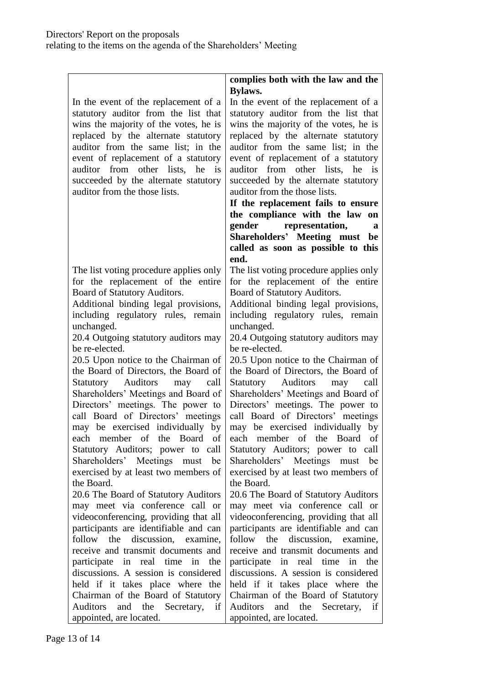|                                          | complies both with the law and the      |
|------------------------------------------|-----------------------------------------|
|                                          | <b>Bylaws.</b>                          |
| In the event of the replacement of a     | In the event of the replacement of a    |
| statutory auditor from the list that     | statutory auditor from the list that    |
| wins the majority of the votes, he is    | wins the majority of the votes, he is   |
| replaced by the alternate statutory      | replaced by the alternate statutory     |
| auditor from the same list; in the       | auditor from the same list; in the      |
| event of replacement of a statutory      | event of replacement of a statutory     |
| auditor from other lists, he<br>is       | auditor from other lists, he is         |
| succeeded by the alternate statutory     | succeeded by the alternate statutory    |
| auditor from the those lists.            | auditor from the those lists.           |
|                                          | If the replacement fails to ensure      |
|                                          | the compliance with the law on          |
|                                          | gender representation,<br>a             |
|                                          | Shareholders' Meeting must be           |
|                                          | called as soon as possible to this      |
|                                          | end.                                    |
| The list voting procedure applies only   | The list voting procedure applies only  |
| for the replacement of the entire        | for the replacement of the entire       |
| Board of Statutory Auditors.             | Board of Statutory Auditors.            |
| Additional binding legal provisions,     | Additional binding legal provisions,    |
| including regulatory rules, remain       | including regulatory rules, remain      |
| unchanged.                               | unchanged.                              |
| 20.4 Outgoing statutory auditors may     | 20.4 Outgoing statutory auditors may    |
| be re-elected.                           | be re-elected.                          |
| 20.5 Upon notice to the Chairman of      | 20.5 Upon notice to the Chairman of     |
| the Board of Directors, the Board of     | the Board of Directors, the Board of    |
| Statutory Auditors<br>may<br>call        | Statutory Auditors<br>may<br>call       |
| Shareholders' Meetings and Board of      | Shareholders' Meetings and Board of     |
| Directors' meetings. The power to        | Directors' meetings. The power to       |
| call Board of Directors' meetings        | call Board of Directors' meetings       |
| may be exercised individually by         | may be exercised individually by        |
| member of the Board<br>of<br>each        | each member of the Board of             |
| Statutory Auditors; power to call        | Statutory Auditors; power to call       |
| Shareholders' Meetings must be           | Shareholders' Meetings must be          |
| exercised by at least two members of     | exercised by at least two members of    |
| the Board.                               | the Board.                              |
| 20.6 The Board of Statutory Auditors     | 20.6 The Board of Statutory Auditors    |
| may meet via conference call or          | may meet via conference call or         |
| videoconferencing, providing that all    | videoconferencing, providing that all   |
| participants are identifiable and can    | participants are identifiable and can   |
| follow the discussion, examine,          | follow the discussion, examine,         |
| receive and transmit documents and       | receive and transmit documents and      |
| participate in real time in<br>the       | participate in real time<br>in<br>the   |
| discussions. A session is considered     | discussions. A session is considered    |
| held if it takes place where the         | held if it takes place where the        |
| Chairman of the Board of Statutory       | Chairman of the Board of Statutory      |
| <b>Auditors</b><br>and the Secretary, if | Auditors<br>and the<br>Secretary,<br>if |
| appointed, are located.                  | appointed, are located.                 |